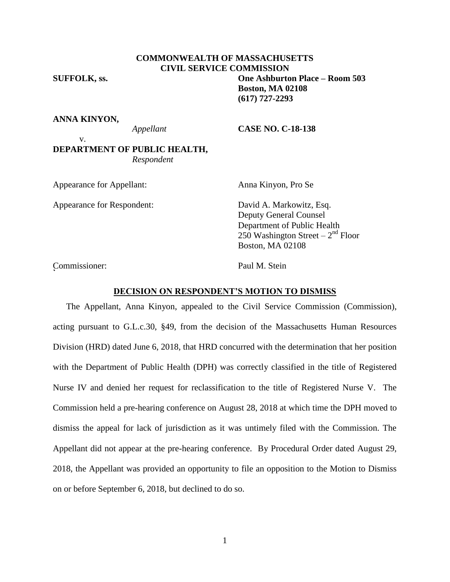### **COMMONWEALTH OF MASSACHUSETTS CIVIL SERVICE COMMISSION**

# **SUFFOLK, ss. One Ashburton Place – Room 503 Boston, MA 02108 (617) 727-2293**

### **ANNA KINYON,**

v.

### *Appellant* **CASE NO. C-18-138**

## **DEPARTMENT OF PUBLIC HEALTH,** *Respondent*

Appearance for Appellant: Anna Kinyon, Pro Se  $\ddot{\phantom{0}}$ 

Appearance for Respondent: David A. Markowitz, Esq. Deputy General Counsel Department of Public Health 250 Washington Street –  $2<sup>nd</sup>$  Floor Boston, MA 02108

Commissioner: Paul M. Stein <sup>2</sup>

### **DECISION ON RESPONDENT'S MOTION TO DISMISS**

The Appellant, Anna Kinyon, appealed to the Civil Service Commission (Commission), acting pursuant to G.L.c.30, §49, from the decision of the Massachusetts Human Resources Division (HRD) dated June 6, 2018, that HRD concurred with the determination that her position with the Department of Public Health (DPH) was correctly classified in the title of Registered Nurse IV and denied her request for reclassification to the title of Registered Nurse V. The Commission held a pre-hearing conference on August 28, 2018 at which time the DPH moved to dismiss the appeal for lack of jurisdiction as it was untimely filed with the Commission. The Appellant did not appear at the pre-hearing conference. By Procedural Order dated August 29, 2018, the Appellant was provided an opportunity to file an opposition to the Motion to Dismiss on or before September 6, 2018, but declined to do so.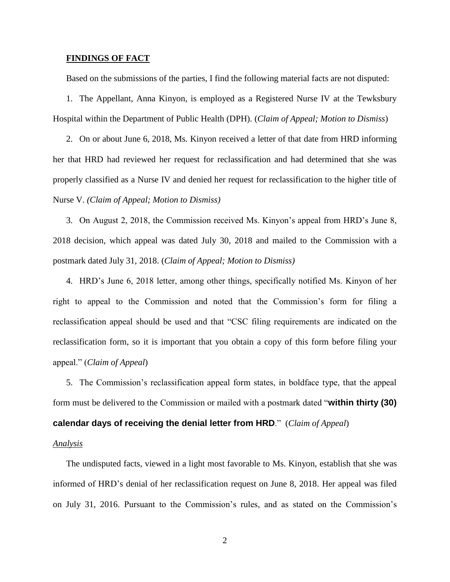### **FINDINGS OF FACT**

Based on the submissions of the parties, I find the following material facts are not disputed:

1. The Appellant, Anna Kinyon, is employed as a Registered Nurse IV at the Tewksbury Hospital within the Department of Public Health (DPH). (*Claim of Appeal; Motion to Dismiss*)

2. On or about June 6, 2018, Ms. Kinyon received a letter of that date from HRD informing her that HRD had reviewed her request for reclassification and had determined that she was properly classified as a Nurse IV and denied her request for reclassification to the higher title of Nurse V. *(Claim of Appeal; Motion to Dismiss)*

3. On August 2, 2018, the Commission received Ms. Kinyon's appeal from HRD's June 8, 2018 decision, which appeal was dated July 30, 2018 and mailed to the Commission with a postmark dated July 31, 2018. (*Claim of Appeal; Motion to Dismiss)*

4. HRD's June 6, 2018 letter, among other things, specifically notified Ms. Kinyon of her right to appeal to the Commission and noted that the Commission's form for filing a reclassification appeal should be used and that "CSC filing requirements are indicated on the reclassification form, so it is important that you obtain a copy of this form before filing your appeal." (*Claim of Appeal*)

5. The Commission's reclassification appeal form states, in boldface type, that the appeal form must be delivered to the Commission or mailed with a postmark dated "**within thirty (30) calendar days of receiving the denial letter from HRD**." (*Claim of Appeal*)

### *Analysis*

The undisputed facts, viewed in a light most favorable to Ms. Kinyon, establish that she was informed of HRD's denial of her reclassification request on June 8, 2018. Her appeal was filed on July 31, 2016. Pursuant to the Commission's rules, and as stated on the Commission's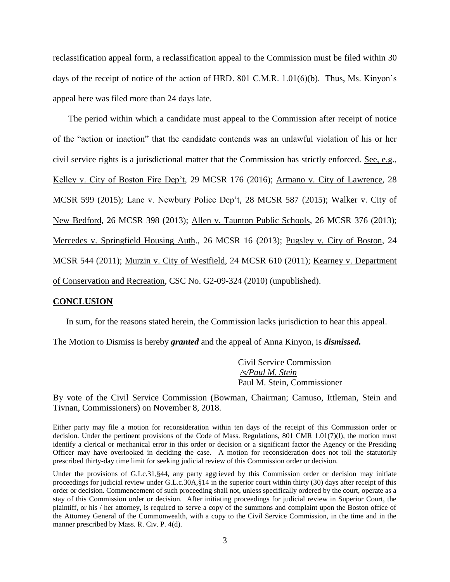reclassification appeal form, a reclassification appeal to the Commission must be filed within 30 days of the receipt of notice of the action of HRD. 801 C.M.R. 1.01(6)(b). Thus, Ms. Kinyon's appeal here was filed more than 24 days late.

The period within which a candidate must appeal to the Commission after receipt of notice of the "action or inaction" that the candidate contends was an unlawful violation of his or her civil service rights is a jurisdictional matter that the Commission has strictly enforced. See, e.g., Kelley v. City of Boston Fire Dep't, 29 MCSR 176 (2016); Armano v. City of Lawrence, 28 MCSR 599 (2015); Lane v. Newbury Police Dep't, 28 MCSR 587 (2015); Walker v. City of New Bedford, 26 MCSR 398 (2013); Allen v. Taunton Public Schools, 26 MCSR 376 (2013); Mercedes v. Springfield Housing Auth., 26 MCSR 16 (2013); Pugsley v. City of Boston, 24 MCSR 544 (2011); Murzin v. City of Westfield, 24 MCSR 610 (2011); Kearney v. Department of Conservation and Recreation, CSC No. G2-09-324 (2010) (unpublished).

### **CONCLUSION**

In sum, for the reasons stated herein, the Commission lacks jurisdiction to hear this appeal.

The Motion to Dismiss is hereby *granted* and the appeal of Anna Kinyon, is *dismissed.*

Civil Service Commission */s/Paul M. Stein*  Paul M. Stein, Commissioner

By vote of the Civil Service Commission (Bowman, Chairman; Camuso, Ittleman, Stein and Tivnan, Commissioners) on November 8, 2018.

Either party may file a motion for reconsideration within ten days of the receipt of this Commission order or decision. Under the pertinent provisions of the Code of Mass. Regulations, 801 CMR 1.01(7)(l), the motion must identify a clerical or mechanical error in this order or decision or a significant factor the Agency or the Presiding Officer may have overlooked in deciding the case. A motion for reconsideration does not toll the statutorily prescribed thirty-day time limit for seeking judicial review of this Commission order or decision.

Under the provisions of G.Lc.31, §44, any party aggrieved by this Commission order or decision may initiate proceedings for judicial review under G.L.c.30A,§14 in the superior court within thirty (30) days after receipt of this order or decision. Commencement of such proceeding shall not, unless specifically ordered by the court, operate as a stay of this Commission order or decision. After initiating proceedings for judicial review in Superior Court, the plaintiff, or his / her attorney, is required to serve a copy of the summons and complaint upon the Boston office of the Attorney General of the Commonwealth, with a copy to the Civil Service Commission, in the time and in the manner prescribed by Mass. R. Civ. P. 4(d).